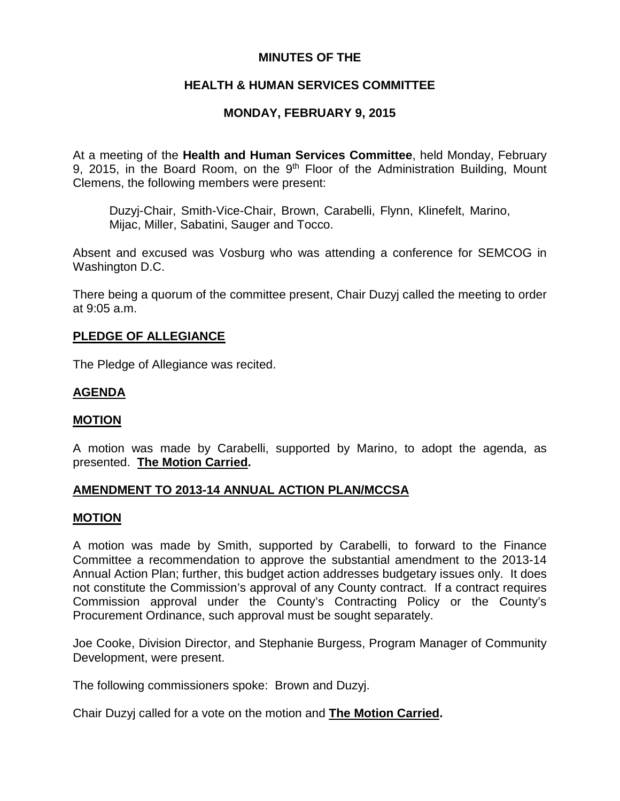# **MINUTES OF THE**

# **HEALTH & HUMAN SERVICES COMMITTEE**

# **MONDAY, FEBRUARY 9, 2015**

At a meeting of the **Health and Human Services Committee**, held Monday, February 9, 2015, in the Board Room, on the  $9<sup>th</sup>$  Floor of the Administration Building, Mount Clemens, the following members were present:

Duzyj-Chair, Smith-Vice-Chair, Brown, Carabelli, Flynn, Klinefelt, Marino, Mijac, Miller, Sabatini, Sauger and Tocco.

Absent and excused was Vosburg who was attending a conference for SEMCOG in Washington D.C.

There being a quorum of the committee present, Chair Duzyj called the meeting to order at 9:05 a.m.

### **PLEDGE OF ALLEGIANCE**

The Pledge of Allegiance was recited.

### **AGENDA**

### **MOTION**

A motion was made by Carabelli, supported by Marino, to adopt the agenda, as presented. **The Motion Carried.**

### **AMENDMENT TO 2013-14 ANNUAL ACTION PLAN/MCCSA**

#### **MOTION**

A motion was made by Smith, supported by Carabelli, to forward to the Finance Committee a recommendation to approve the substantial amendment to the 2013-14 Annual Action Plan; further, this budget action addresses budgetary issues only. It does not constitute the Commission's approval of any County contract. If a contract requires Commission approval under the County's Contracting Policy or the County's Procurement Ordinance, such approval must be sought separately.

Joe Cooke, Division Director, and Stephanie Burgess, Program Manager of Community Development, were present.

The following commissioners spoke: Brown and Duzyj.

Chair Duzyj called for a vote on the motion and **The Motion Carried.**